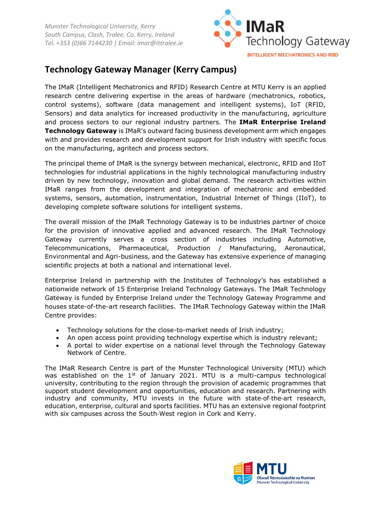

# **Technology Gateway Manager (Kerry Campus)**

The IMaR (Intelligent Mechatronics and RFID) Research Centre at MTU Kerry is an applied research centre delivering expertise in the areas of hardware (mechatronics, robotics, control systems), software (data management and intelligent systems), IoT (RFID, Sensors) and data analytics for increased productivity in the manufacturing, agriculture and process sectors to our regional industry partners. The **IMaR Enterprise Ireland Technology Gateway** is IMaR's outward facing business development arm which engages with and provides research and development support for Irish industry with specific focus on the manufacturing, agritech and process sectors.

The principal theme of IMaR is the synergy between mechanical, electronic, RFID and IIoT technologies for industrial applications in the highly technological manufacturing industry driven by new technology, innovation and global demand. The research activities within IMaR ranges from the development and integration of mechatronic and embedded systems, sensors, automation, instrumentation, Industrial Internet of Things (IIoT), to developing complete software solutions for intelligent systems.

The overall mission of the IMaR Technology Gateway is to be industries partner of choice for the provision of innovative applied and advanced research. The IMaR Technology Gateway currently serves a cross section of industries including Automotive, Telecommunications, Pharmaceutical, Production / Manufacturing, Aeronautical, Environmental and Agri-business, and the Gateway has extensive experience of managing scientific projects at both a national and international level.

Enterprise Ireland in partnership with the Institutes of Technology's has established a nationwide network of 15 Enterprise Ireland Technology Gateways. The IMaR Technology Gateway is funded by Enterprise Ireland under the Technology Gateway Programme and houses state-of-the-art research facilities. The IMaR Technology Gateway within the IMaR Centre provides:

- Technology solutions for the close-to-market needs of Irish industry;
- An open access point providing technology expertise which is industry relevant;
- A portal to wider expertise on a national level through the Technology Gateway Network of Centre.

The IMaR Research Centre is part of the Munster Technological University (MTU) which was established on the 1<sup>st</sup> of January 2021. MTU is a multi-campus technological university, contributing to the region through the provision of academic programmes that support student development and opportunities, education and research. Partnering with industry and community, MTU invests in the future with state-of-the-art research, education, enterprise, cultural and sports facilities. MTU has an extensive regional footprint with six campuses across the South-West region in Cork and Kerry.

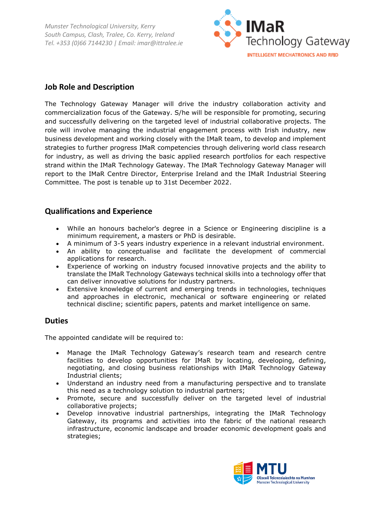

## **Job Role and Description**

The Technology Gateway Manager will drive the industry collaboration activity and commercialization focus of the Gateway. S/he will be responsible for promoting, securing and successfully delivering on the targeted level of industrial collaborative projects. The role will involve managing the industrial engagement process with Irish industry, new business development and working closely with the IMaR team, to develop and implement strategies to further progress IMaR competencies through delivering world class research for industry, as well as driving the basic applied research portfolios for each respective strand within the IMaR Technology Gateway. The IMaR Technology Gateway Manager will report to the IMaR Centre Director, Enterprise Ireland and the IMaR Industrial Steering Committee. The post is tenable up to 31st December 2022.

### **Qualifications and Experience**

- While an honours bachelor's degree in a Science or Engineering discipline is a minimum requirement, a masters or PhD is desirable.
- A minimum of 3-5 years industry experience in a relevant industrial environment.
- An ability to conceptualise and facilitate the development of commercial applications for research.
- Experience of working on industry focused innovative projects and the ability to translate the IMaR Technology Gateways technical skills into a technology offer that can deliver innovative solutions for industry partners.
- Extensive knowledge of current and emerging trends in technologies, techniques and approaches in electronic, mechanical or software engineering or related technical discline; scientific papers, patents and market intelligence on same.

### **Duties**

The appointed candidate will be required to:

- Manage the IMaR Technology Gateway's research team and research centre facilities to develop opportunities for IMaR by locating, developing, defining, negotiating, and closing business relationships with IMaR Technology Gateway Industrial clients;
- Understand an industry need from a manufacturing perspective and to translate this need as a technology solution to industrial partners;
- Promote, secure and successfully deliver on the targeted level of industrial collaborative projects;
- Develop innovative industrial partnerships, integrating the IMaR Technology Gateway, its programs and activities into the fabric of the national research infrastructure, economic landscape and broader economic development goals and strategies;